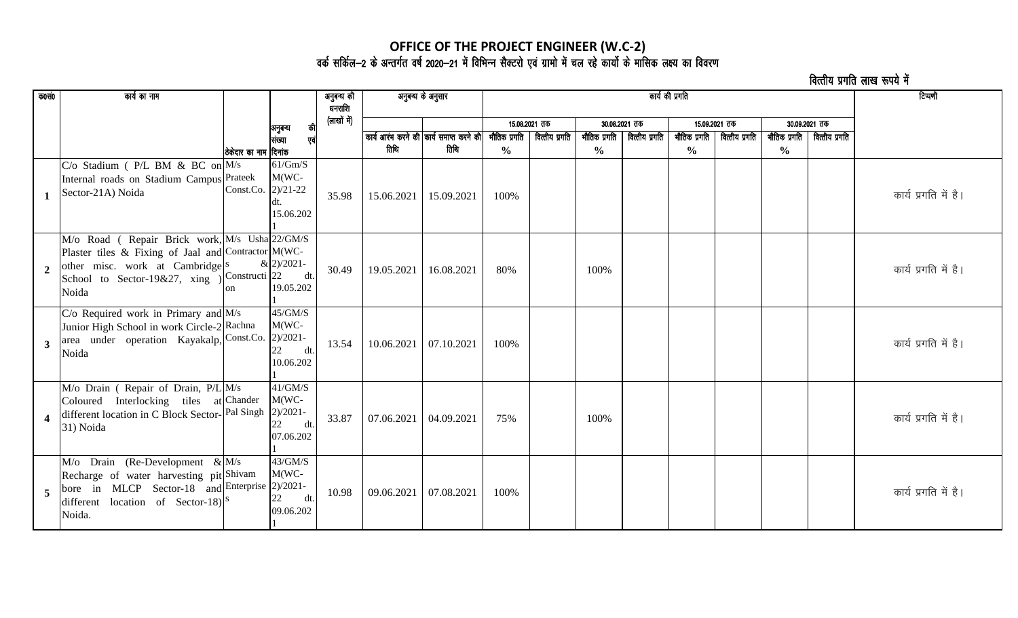## **OFFICE OF THE PROJECT ENGINEER (W.C-2)** वर्क सर्किल—2 के अन्तर्गत वर्ष 2020—21 में विभिन्न सैक्टरो एवं ग्रामो में चल रहे कार्यो के मासिक लक्ष्य का विवरण

वित्तीय प्रगति लाख रूपये में

| क0सं0                   | कार्य का नाम                                                                                                                                                                                 |                       |                                                              | अनुबन्ध की<br>धनराशि |            | अनुबन्ध के अनुसार                       | कार्य की प्रगति |                |               |                |               |                |               |                               | टिप्पणी              |
|-------------------------|----------------------------------------------------------------------------------------------------------------------------------------------------------------------------------------------|-----------------------|--------------------------------------------------------------|----------------------|------------|-----------------------------------------|-----------------|----------------|---------------|----------------|---------------|----------------|---------------|-------------------------------|----------------------|
|                         |                                                                                                                                                                                              |                       | अनुबन्ध                                                      | (लाखों में)          |            |                                         |                 | 15.08.2021 तक  |               | 30.08.2021 तक  |               | 15.09.2021 तक  |               | 30.09.2021 तक                 |                      |
|                         |                                                                                                                                                                                              |                       |                                                              |                      |            | कार्य आरंभ करने की कार्य समाप्त करने की | भौतिक प्रगति    | वित्तीय प्रगति | भौतिक प्रगति  | वित्तीय प्रगति | भौतिक प्रगति  | वित्तीय प्रगति |               | भौतिक प्रगति   वित्तीय प्रगति |                      |
|                         |                                                                                                                                                                                              | ठेकेदार का नाम दिनांक |                                                              |                      | तिथि       | तिथि                                    | $\frac{0}{0}$   |                | $\frac{6}{6}$ |                | $\frac{6}{6}$ |                | $\frac{6}{6}$ |                               |                      |
|                         | $C/O$ Stadium (P/L BM & BC on M/s<br>Internal roads on Stadium Campus Prateek<br>Sector-21A) Noida                                                                                           | Const.Co. 2)/21-22    | 61/Gm/S<br>$M(WC -$<br>15.06.202                             | 35.98                | 15.06.2021 | 15.09.2021                              | 100%            |                |               |                |               |                |               |                               | कार्य प्रगति में है। |
| $\mathbf{2}$            | M/o Road (Repair Brick work, M/s Usha 22/GM/S<br>Plaster tiles & Fixing of Jaal and Contractor M(WC-<br>other misc. work at Cambridge <sup>s</sup><br>School to Sector-19&27, xing<br>Noida  | Constructi 22<br>on   | $& 2)/2021 -$<br>$dt$ .<br>19.05.202                         | 30.49                | 19.05.2021 | 16.08.2021                              | 80%             |                | 100%          |                |               |                |               |                               | कार्य प्रगति में है। |
| $\overline{\mathbf{3}}$ | $C/O$ Required work in Primary and $M/s$<br>Junior High School in work Circle-2 Rachna<br>area under operation Kayakalp, Const.Co.<br>Noida                                                  |                       | 45/GM/S<br>$M(WC -$<br>$2)/2021-$<br>22.<br>dt.<br>10.06.202 | 13.54                | 10.06.2021 | 07.10.2021                              | 100%            |                |               |                |               |                |               |                               | कार्य प्रगति में है। |
|                         | M/o Drain ( Repair of Drain, P/L M/s<br>Coloured Interlocking tiles at Chander<br>different location in C Block Sector-Pal Singh<br>31) Noida                                                |                       | 41/GM/S<br>$M(WC -$<br>$2)/2021-$<br>dt.<br>07.06.202        | 33.87                | 07.06.2021 | 04.09.2021                              | 75%             |                | 100%          |                |               |                |               |                               | कार्य प्रगति में है। |
|                         | $M$ /o Drain (Re-Development & $M/s$<br>Recharge of water harvesting pit Shivam<br>bore in MLCP Sector-18 and Enterprise 2)/2021-<br>different location of Sector-18) <sup>S</sup><br>Noida. |                       | 43/GM/S<br>$M(WC -$<br>22<br>dt.<br>09.06.202                | 10.98                | 09.06.2021 | 07.08.2021                              | 100%            |                |               |                |               |                |               |                               | कार्य प्रगति में है। |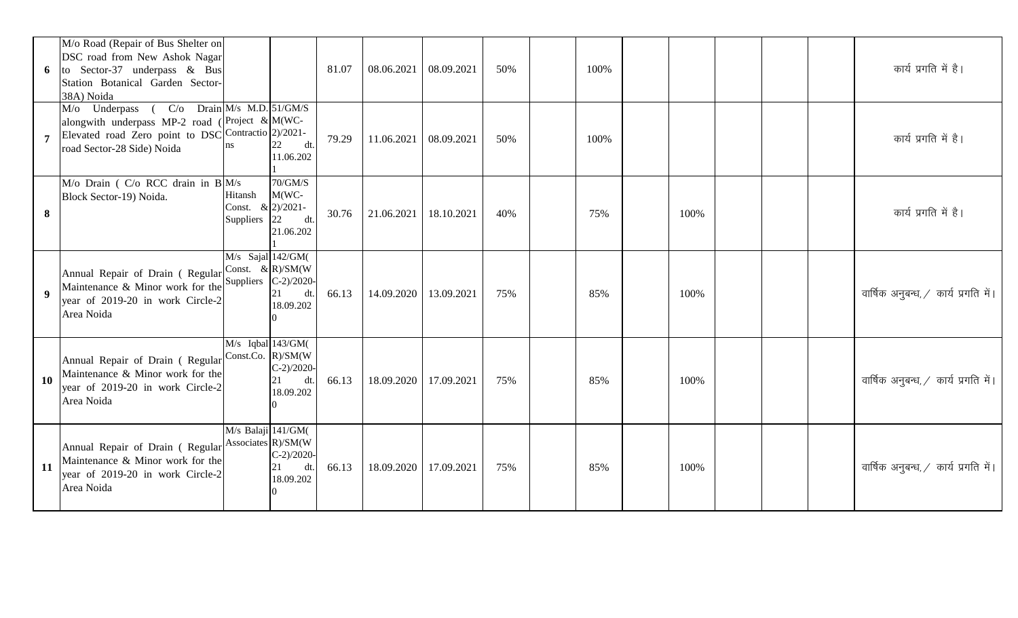| 6         | M/o Road (Repair of Bus Shelter on<br>DSC road from New Ashok Nagar<br>to Sector-37 underpass & Bus<br>Station Botanical Garden Sector-<br>38A) Noida                   |                                                 |                                         | 81.07 | 08.06.2021 | 08.09.2021 | 50% | 100% |      |  | कार्य प्रगति में है।                 |
|-----------|-------------------------------------------------------------------------------------------------------------------------------------------------------------------------|-------------------------------------------------|-----------------------------------------|-------|------------|------------|-----|------|------|--|--------------------------------------|
|           | M/o Underpass ( C/o Drain M/s M.D. 51/GM/S<br>alongwith underpass MP-2 road<br>Elevated road Zero point to DSC Contractio 2)/2021-<br>ns.<br>road Sector-28 Side) Noida | (Project & $M(WC-$                              | dt.<br>11.06.202                        | 79.29 | 11.06.2021 | 08.09.2021 | 50% | 100% |      |  | कार्य प्रगति में है।                 |
| 8         | $M$ /o Drain ( C/o RCC drain in B $\vert M/s \vert$<br>Block Sector-19) Noida.                                                                                          | Hitansh<br>Const. $& 2)/2021 -$<br>Suppliers 22 | 70/GM/S<br>$M(WC -$<br>dt.<br>21.06.202 | 30.76 | 21.06.2021 | 18.10.2021 | 40% | 75%  | 100% |  | कार्य प्रगति में है।                 |
|           | Annual Repair of Drain (Regular Const. & R)/SM(W<br>Maintenance & Minor work for the Suppliers C-2)/2020-<br>year of 2019-20 in work Circle-2<br>Area Noida             | $M/s$ Sajal 142/GM(                             | 18.09.202                               | 66.13 | 14.09.2020 | 13.09.2021 | 75% | 85%  | 100% |  | वार्षिक अनुबन्ध, / कार्य प्रगति में। |
| <b>10</b> | Annual Repair of Drain (Regular Const.Co. $\vert R \rangle / SM(W)$<br>Maintenance & Minor work for the<br>year of 2019-20 in work Circle-2<br>Area Noida               | M/s Iqbal 143/GM(                               | $C-2)/2020-$<br>21<br>dt.<br>18.09.202  | 66.13 | 18.09.2020 | 17.09.2021 | 75% | 85%  | 100% |  | वार्षिक अनुबन्ध, / कार्य प्रगति में। |
| 11        | Annual Repair of Drain ( Regular Associates R)/SM(W<br>Maintenance & Minor work for the<br>year of 2019-20 in work Circle-2<br>Area Noida                               | M/s Balaji 141/GM(                              | $C-2)/2020-$<br>21<br>dt.<br>18.09.202  | 66.13 | 18.09.2020 | 17.09.2021 | 75% | 85%  | 100% |  | वार्षिक अनुबन्ध, / कार्य प्रगति में। |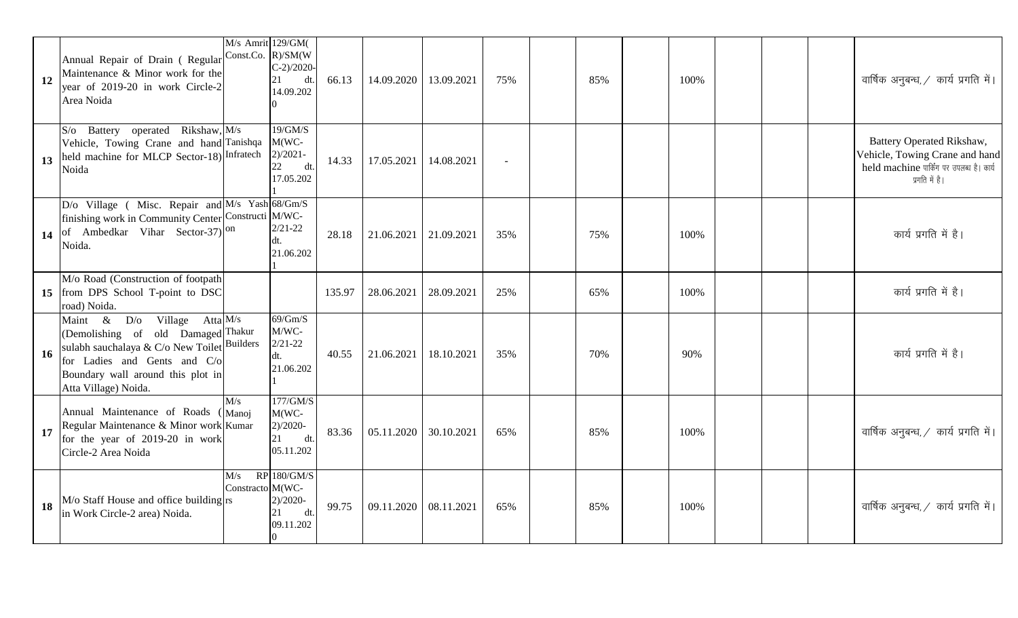| 12        | Annual Repair of Drain ( Regular Const.Co. R)/SM(W<br>Maintenance & Minor work for the<br>year of 2019-20 in work Circle-2<br>Area Noida                                                                       | M/s Amrit 129/GM(<br>$C-2)/2020$<br>21<br>dt.<br>14.09.202              | 66.13  | 14.09.2020 | 13.09.2021 | 75%                      | 85% | 100% |  | वार्षिक अनुबन्ध, / कार्य प्रगति में।                                                                                       |
|-----------|----------------------------------------------------------------------------------------------------------------------------------------------------------------------------------------------------------------|-------------------------------------------------------------------------|--------|------------|------------|--------------------------|-----|------|--|----------------------------------------------------------------------------------------------------------------------------|
| 13        | S/o Battery operated Rikshaw, M/s<br>Vehicle, Towing Crane and hand Tanishqa<br>held machine for MLCP Sector-18) Infratech<br>Noida                                                                            | 19/GM/S<br>$M(WC -$<br>$2)/2021-$<br>22<br>dt.<br>17.05.202             | 14.33  | 17.05.2021 | 14.08.2021 | $\overline{\phantom{a}}$ |     |      |  | Battery Operated Rikshaw,<br>Vehicle, Towing Crane and hand<br>held machine पार्किंग पर उपलब्ध है। कार्य<br>प्रगति में है। |
| 14        | D/o Village ( Misc. Repair and M/s Yash 68/Gm/S<br>finishing work in Community Center Constructi M/WC-<br>of Ambedkar Vihar Sector-37) $ ^{0n}$<br>Noida.                                                      | $2/21 - 22$<br>dt.<br>21.06.202                                         | 28.18  | 21.06.2021 | 21.09.2021 | 35%                      | 75% | 100% |  | कार्य प्रगति में है।                                                                                                       |
|           | M/o Road (Construction of footpath<br>15 from DPS School T-point to DSC<br>road) Noida.                                                                                                                        |                                                                         | 135.97 | 28.06.2021 | 28.09.2021 | 25%                      | 65% | 100% |  | कार्य प्रगति में है।                                                                                                       |
| <b>16</b> | Maint & D/o Village Atta M/s<br>(Demolishing of old Damaged Thakur<br>sulabh sauchalaya & C/o New Toilet Builders<br>for Ladies and Gents and C/o<br>Boundary wall around this plot in<br>Atta Village) Noida. | $\overline{69/Gm/S}$<br>M/WC-<br>$2/21 - 22$<br>dt.<br>21.06.202        | 40.55  | 21.06.2021 | 18.10.2021 | 35%                      | 70% | 90%  |  | कार्य प्रगति में है।                                                                                                       |
| 17        | M/s<br>Annual Maintenance of Roads<br>(Mano)<br>Regular Maintenance & Minor work Kumar<br>for the year of 2019-20 in work<br>Circle-2 Area Noida                                                               | 177/GM/S<br>$M(WC -$<br>$2)/2020-$<br>21<br>dt.<br>05.11.202            | 83.36  | 05.11.2020 | 30.10.2021 | 65%                      | 85% | 100% |  | वार्षिक अनुबन्ध, / कार्य प्रगति में।                                                                                       |
| 18        | M/s<br>$M$ /o Staff House and office building $rs$<br>in Work Circle-2 area) Noida.                                                                                                                            | RP 180/GM/S<br>Constracto M(WC-<br>$2)/2020-$<br>21<br>dt.<br>09.11.202 | 99.75  | 09.11.2020 | 08.11.2021 | 65%                      | 85% | 100% |  | वार्षिक अनुबन्ध, / कार्य प्रगति में।                                                                                       |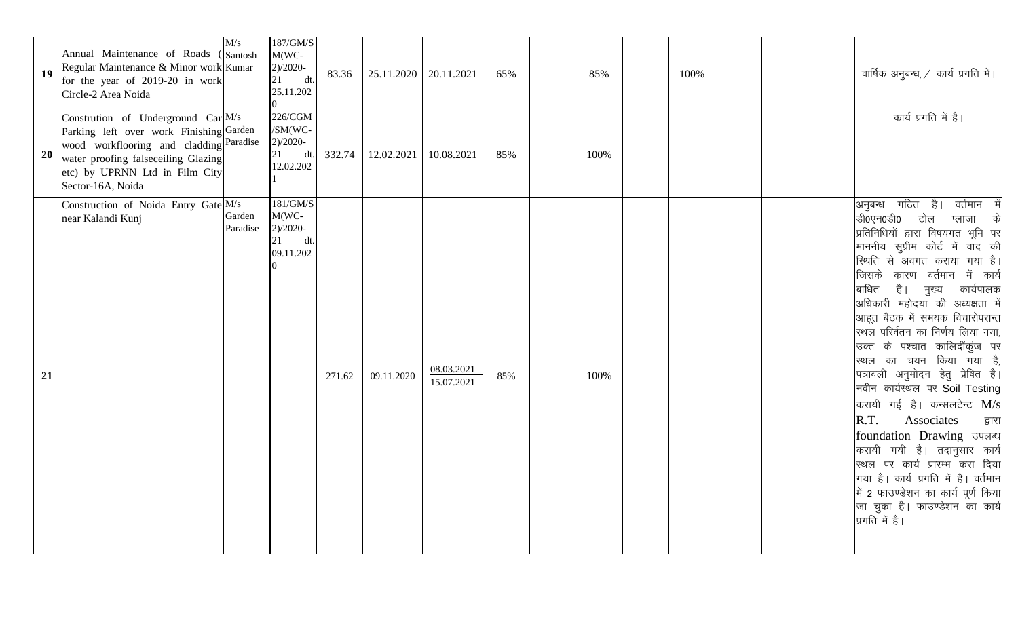| 19<br><b>20</b> | Annual Maintenance of Roads (Santosh<br>Regular Maintenance & Minor work Kumar<br>for the year of 2019-20 in work<br>Circle-2 Area Noida<br>Constrution of Underground Car M/s<br>Parking left over work Finishing Garden<br>wood workflooring and cladding Paradise<br>water proofing falseceiling Glazing<br>etc) by UPRNN Ltd in Film City<br>Sector-16A, Noida | M/s                | 187/GM/S<br>$M(WC -$<br>$2)/2020-$<br>21<br>dt.<br>25.11.202<br>226/CGM<br>/SM(WC-<br>$2)/2020-$<br>21<br>dt.<br>12.02.202 | 332.74 | 83.36   25.11.2020   20.11.2021<br>12.02.2021 | 10.08.2021               | 65%<br>85% | 85%<br>100% | 100% |  | वार्षिक अनुबन्ध, / कार्य प्रगति में।<br>कार्य प्रगति में है।                                                                                                                                                                                                                                                                                                                                                                                                                                                                                                                                                                                                                                                                                                                                     |
|-----------------|--------------------------------------------------------------------------------------------------------------------------------------------------------------------------------------------------------------------------------------------------------------------------------------------------------------------------------------------------------------------|--------------------|----------------------------------------------------------------------------------------------------------------------------|--------|-----------------------------------------------|--------------------------|------------|-------------|------|--|--------------------------------------------------------------------------------------------------------------------------------------------------------------------------------------------------------------------------------------------------------------------------------------------------------------------------------------------------------------------------------------------------------------------------------------------------------------------------------------------------------------------------------------------------------------------------------------------------------------------------------------------------------------------------------------------------------------------------------------------------------------------------------------------------|
| 21              | Construction of Noida Entry Gate M/s<br>near Kalandi Kunj                                                                                                                                                                                                                                                                                                          | Garden<br>Paradise | 181/GM/S<br>$M(WC -$<br>$2)/2020-$<br>21<br>dt.<br>09.11.202                                                               | 271.62 | 09.11.2020                                    | 08.03.2021<br>15.07.2021 | 85%        | 100%        |      |  | अनुबन्ध गठित है। वर्तमान में<br>डी0एन0डी0 टोल<br>प्लाजा के<br>प्रतिनिधियों द्वारा विषयगत भूमि पर<br>माननीय सुप्रीम कोर्ट में वाद की<br>स्थिति से अवगत कराया गया है।<br>कारण वर्तमान में कार्य<br>जिसके<br>है ।<br>कार्यपालक <br>बाधित<br>मुख्य<br>अधिकारी महोदया की अध्यक्षता में<br>आहूत बैठक में समयक विचारोपरान्त<br>स्थल परिर्वतन का निर्णय लिया गया,<br>उक्त के पश्चात कालिदींकुंज पर<br>स्थल का चयन किया गया है,<br>पत्रावली अनुमोदन हेतु प्रेषित है।<br>नवीन कार्यस्थल पर Soil Testing<br>करायी गई है। कन्सलटेन्ट M/s<br>R.T.<br>Associates<br>द्वारा<br>foundation Drawing उपलब्ध<br>करायी गयी है। तदानुसार कार्य <br>स्थल पर कार्य प्रारम्भ करा दिया<br>गया है। कार्य प्रगति में है। वर्तमान<br>में 2 फाउण्डेशन का कार्य पूर्ण किया<br>जा चुका है। फाउण्डेशन का कार्य<br>प्रगति में है। |